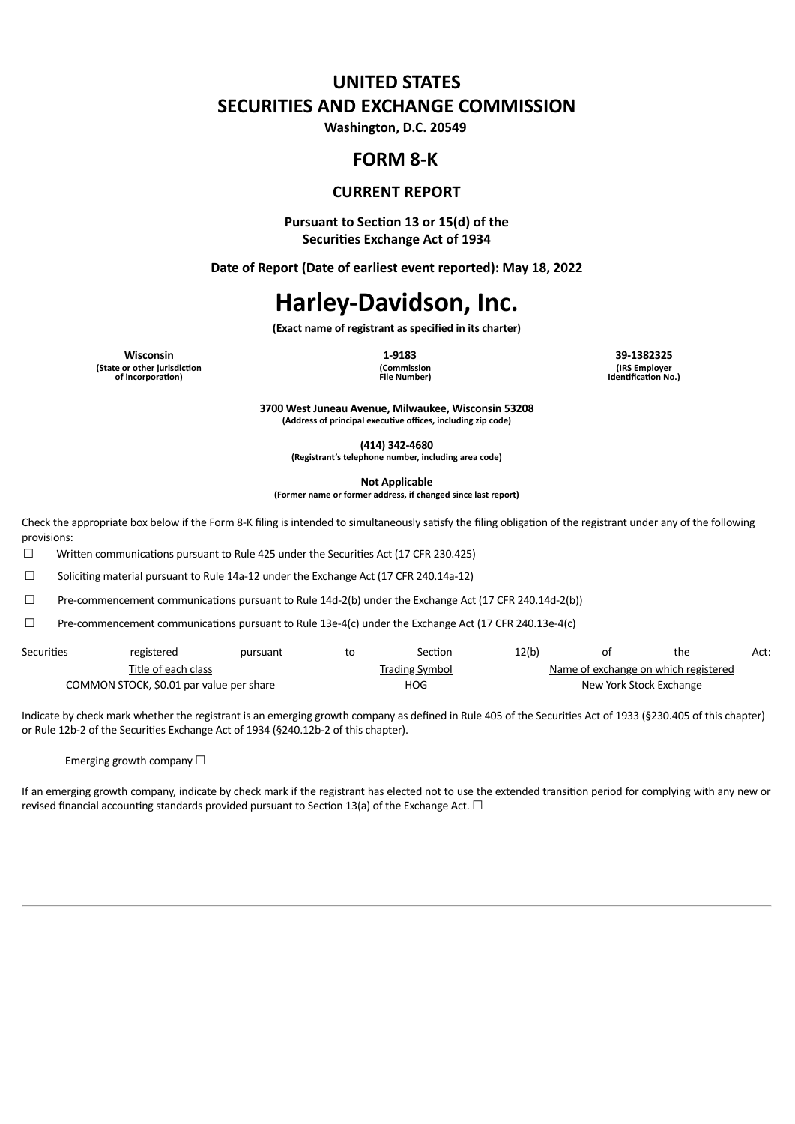# **UNITED STATES SECURITIES AND EXCHANGE COMMISSION**

**Washington, D.C. 20549**

## **FORM 8-K**

### **CURRENT REPORT**

**Pursuant to Section 13 or 15(d) of the Securities Exchange Act of 1934**

**Date of Report (Date of earliest event reported): May 18, 2022**

# **Harley-Davidson, Inc.**

**(Exact name of registrant as specified in its charter)**

**Wisconsin 1-9183 39-1382325 (State or other jurisdiction of incorporation)**

**(Commission File Number)** **(IRS Employer Identification No.)**

**3700 West Juneau Avenue, Milwaukee, Wisconsin 53208 (Address of principal executive offices, including zip code)**

**(414) 342-4680**

**(Registrant's telephone number, including area code)**

**Not Applicable**

**(Former name or former address, if changed since last report)**

Check the appropriate box below if the Form 8-K filing is intended to simultaneously satisfy the filing obligation of the registrant under any of the following provisions:

□ Written communications pursuant to Rule 425 under the Securities Act (17 CFR 230.425)

☐ Soliciting material pursuant to Rule 14a-12 under the Exchange Act (17 CFR 240.14a-12)

☐ Pre-commencement communications pursuant to Rule 14d-2(b) under the Exchange Act (17 CFR 240.14d-2(b))

☐ Pre-commencement communications pursuant to Rule 13e-4(c) under the Exchange Act (17 CFR 240.13e-4(c)

| Securities | registered                               | pursuant | to | Section               | 12(b) | οt | the                                         | Act: |
|------------|------------------------------------------|----------|----|-----------------------|-------|----|---------------------------------------------|------|
|            | Title of each class                      |          |    | <b>Trading Symbol</b> |       |    | <u>Name of exchange on which registered</u> |      |
|            | COMMON STOCK, \$0.01 par value per share |          |    | <b>HOG</b>            |       |    | New York Stock Exchange                     |      |

Indicate by check mark whether the registrant is an emerging growth company as defined in Rule 405 of the Securities Act of 1933 (§230.405 of this chapter) or Rule 12b-2 of the Securities Exchange Act of 1934 (§240.12b-2 of this chapter).

Emerging growth company  $\Box$ 

If an emerging growth company, indicate by check mark if the registrant has elected not to use the extended transition period for complying with any new or revised financial accounting standards provided pursuant to Section 13(a) of the Exchange Act.  $\Box$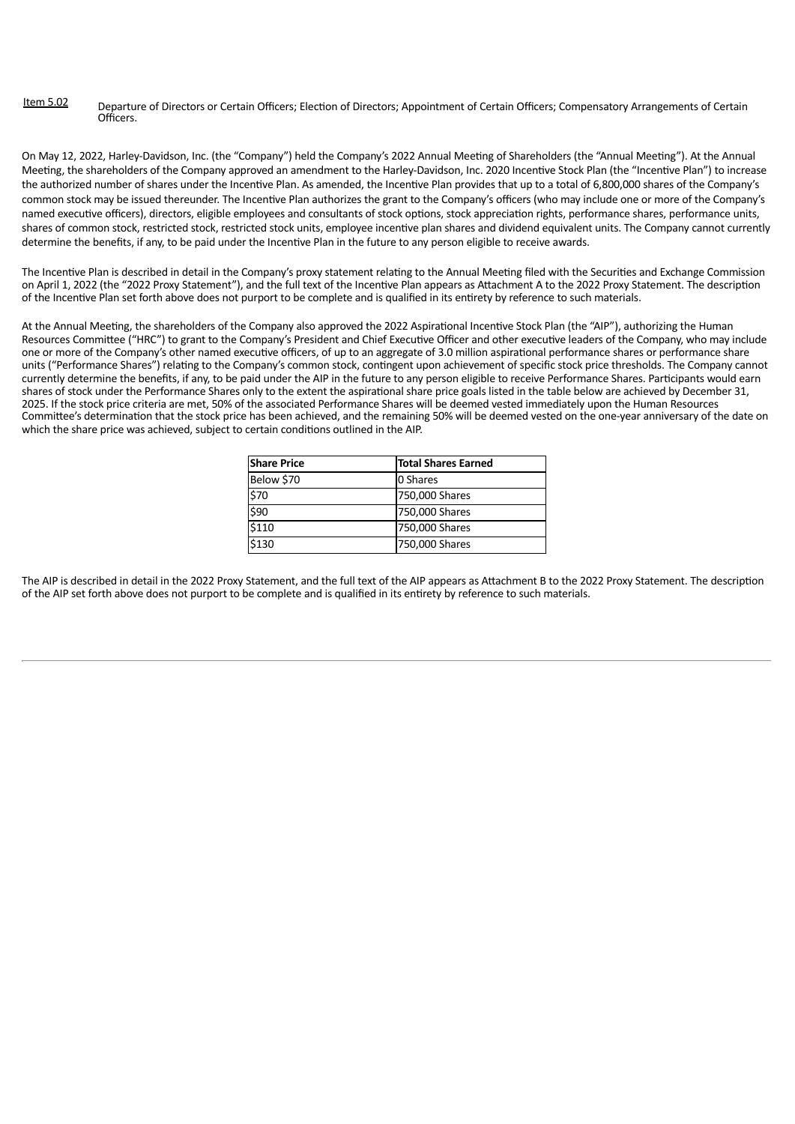#### Item 5.02 Departure of Directors or Certain Officers; Election of Directors; Appointment of Certain Officers; Compensatory Arrangements of Certain **Officers**

On May 12, 2022, Harley-Davidson, Inc. (the "Company") held the Company's 2022 Annual Meeting of Shareholders (the "Annual Meeting"). At the Annual Meeting, the shareholders of the Company approved an amendment to the Harley-Davidson, Inc. 2020 Incentive Stock Plan (the "Incentive Plan") to increase the authorized number of shares under the Incentive Plan. As amended, the Incentive Plan provides that up to a total of 6,800,000 shares of the Company's common stock may be issued thereunder. The Incentive Plan authorizes the grant to the Company's officers (who may include one or more of the Company's named executive officers), directors, eligible employees and consultants of stock options, stock appreciation rights, performance shares, performance units, shares of common stock, restricted stock, restricted stock units, employee incentive plan shares and dividend equivalent units. The Company cannot currently determine the benefits, if any, to be paid under the Incentive Plan in the future to any person eligible to receive awards.

The Incentive Plan is described in detail in the Company's proxy statement relating to the Annual Meeting filed with the Securities and Exchange Commission on April 1, 2022 (the "2022 Proxy Statement"), and the full text of the Incentive Plan appears as Attachment A to the 2022 Proxy Statement. The description of the Incentive Plan set forth above does not purport to be complete and is qualified in its entirety by reference to such materials.

At the Annual Meeting, the shareholders of the Company also approved the 2022 Aspirational Incentive Stock Plan (the "AIP"), authorizing the Human Resources Committee ("HRC") to grant to the Company's President and Chief Executive Officer and other executive leaders of the Company, who may include one or more of the Company's other named executive officers, of up to an aggregate of 3.0 million aspirational performance shares or performance share units ("Performance Shares") relating to the Company's common stock, contingent upon achievement of specific stock price thresholds. The Company cannot currently determine the benefits, if any, to be paid under the AIP in the future to any person eligible to receive Performance Shares. Participants would earn shares of stock under the Performance Shares only to the extent the aspirational share price goals listed in the table below are achieved by December 31, 2025. If the stock price criteria are met, 50% of the associated Performance Shares will be deemed vested immediately upon the Human Resources Committee's determination that the stock price has been achieved, and the remaining 50% will be deemed vested on the one-year anniversary of the date on which the share price was achieved, subject to certain conditions outlined in the AIP.

| <b>Share Price</b> | <b>Total Shares Earned</b> |
|--------------------|----------------------------|
| Below \$70         | 0 Shares                   |
| \$70               | 750,000 Shares             |
| \$90               | 750,000 Shares             |
| \$110              | 750,000 Shares             |
| \$130              | 750,000 Shares             |

The AIP is described in detail in the 2022 Proxy Statement, and the full text of the AIP appears as Attachment B to the 2022 Proxy Statement. The description of the AIP set forth above does not purport to be complete and is qualified in its entirety by reference to such materials.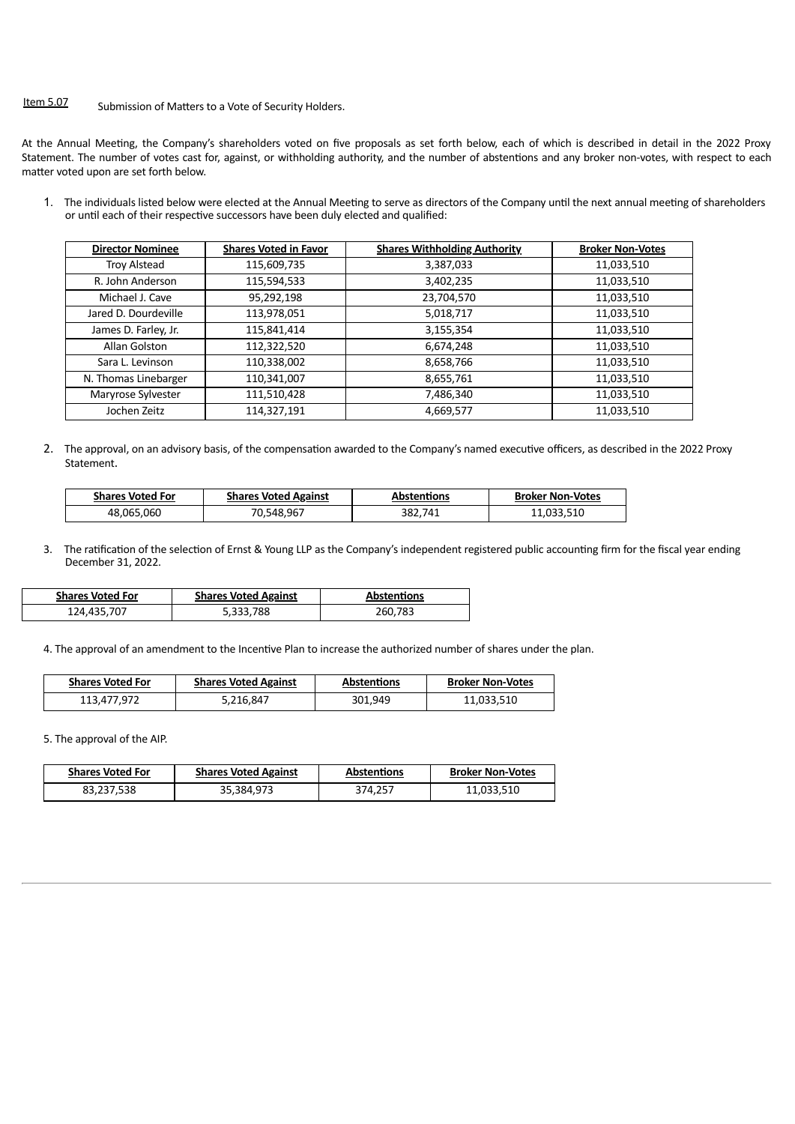## Item 5.07 Submission of Matters to a Vote of Security Holders.

At the Annual Meeting, the Company's shareholders voted on five proposals as set forth below, each of which is described in detail in the 2022 Proxy Statement. The number of votes cast for, against, or withholding authority, and the number of abstentions and any broker non-votes, with respect to each matter voted upon are set forth below.

1. The individuals listed below were elected at the Annual Meeting to serve as directors of the Company until the next annual meeting of shareholders or until each of their respective successors have been duly elected and qualified:

| <b>Director Nominee</b> | <b>Shares Voted in Favor</b> | <b>Shares Withholding Authority</b> | <b>Broker Non-Votes</b> |
|-------------------------|------------------------------|-------------------------------------|-------------------------|
| <b>Troy Alstead</b>     | 115,609,735                  | 3,387,033                           | 11,033,510              |
| R. John Anderson        | 115,594,533                  | 3,402,235                           | 11,033,510              |
| Michael J. Cave         | 95,292,198                   | 23,704,570                          | 11,033,510              |
| Jared D. Dourdeville    | 113,978,051                  | 5,018,717                           | 11,033,510              |
| James D. Farley, Jr.    | 115,841,414                  | 3,155,354                           | 11,033,510              |
| Allan Golston           | 112,322,520                  | 6,674,248                           | 11,033,510              |
| Sara L. Levinson        | 110,338,002                  | 8,658,766                           | 11,033,510              |
| N. Thomas Linebarger    | 110,341,007                  | 8,655,761                           | 11,033,510              |
| Maryrose Sylvester      | 111,510,428                  | 7,486,340                           | 11,033,510              |
| Jochen Zeitz            | 114,327,191                  | 4,669,577                           | 11,033,510              |

2. The approval, on an advisory basis, of the compensation awarded to the Company's named executive officers, as described in the 2022 Proxy Statement.

| <b>Shares Voted For</b> | <b>Shares Voted Against</b> | <b>Abstentions</b> | <b>Broker Non-Votes</b> |
|-------------------------|-----------------------------|--------------------|-------------------------|
| 48,065,060              | 70,548,967                  | 382,741            | 11,033,510              |

3. The ratification of the selection of Ernst & Young LLP as the Company's independent registered public accounting firm for the fiscal year ending December 31, 2022.

| <b>Shares Voted For</b> | <b>Shares Voted Against</b> | <b>Abstentions</b> |
|-------------------------|-----------------------------|--------------------|
| 124,435,707             | 5,333,788                   | 260,783            |

4. The approval of an amendment to the Incentive Plan to increase the authorized number of shares under the plan.

| <b>Shares Voted For</b> | <b>Shares Voted Against</b> | <b>Abstentions</b> | <b>Broker Non-Votes</b> |
|-------------------------|-----------------------------|--------------------|-------------------------|
| 113,477,972             | 5,216,847                   | 301.949            | 11,033,510              |

5. The approval of the AIP.

| <b>Shares Voted For</b> | <b>Shares Voted Against</b> | <b>Abstentions</b> | <b>Broker Non-Votes</b> |
|-------------------------|-----------------------------|--------------------|-------------------------|
| 83,237,538              | 35,384,973                  | 374,257            | 11,033,510              |